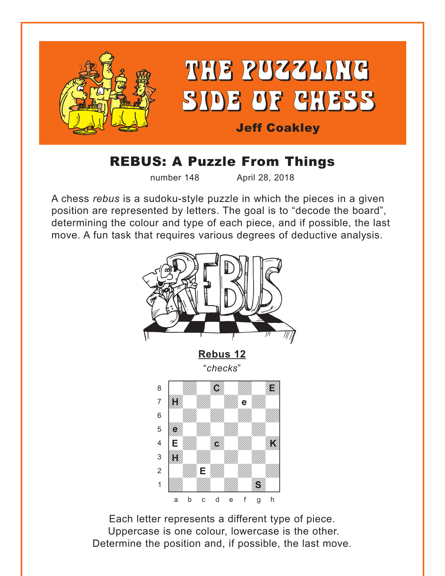<span id="page-0-0"></span>

## REBUS: A Puzzle From Things

number 148 April 28, 2018

A chess *rebus* is a sudoku-style puzzle in which the pieces in a given position are represented by letters. The goal is to "decode the board", determining the colour and type of each piece, and if possible, the last move. A fun task that requires various degrees of deductive analysis.



Each letter represents a different type of piece. Uppercase is one colour, lowercase is the other. Determine the position and, if possible, the last move.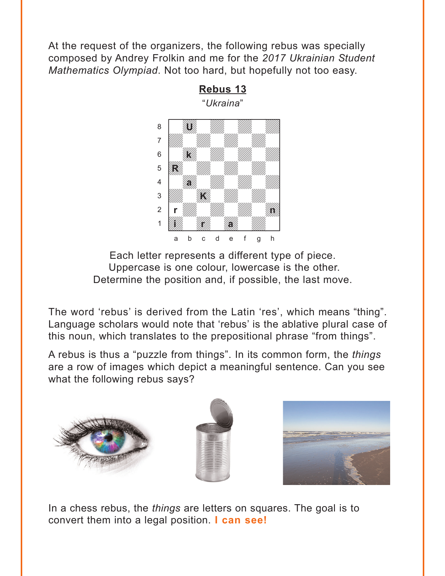<span id="page-1-0"></span>At the request of the organizers, the following rebus was specially composed by Andrey Frolkin and me for the *2017 Ukrainian Student Mathematics Olympiad*. Not too hard, but hopefully not too easy.



**[Rebus 13](#page-4-0)** "*Ukraina*"

Each letter represents a different type of piece. Uppercase is one colour, lowercase is the other. Determine the position and, if possible, the last move.

The word 'rebus' is derived from the Latin 'res', which means "thing". Language scholars would note that 'rebus' is the ablative plural case of this noun, which translates to the prepositional phrase "from things".

A rebus is thus a "puzzle from things". In its common form, the *things* are a row of images which depict a meaningful sentence. Can you see what the following rebus says?





In a chess rebus, the *things* are letters on squares. The goal is to convert them into a legal position. **I can see!**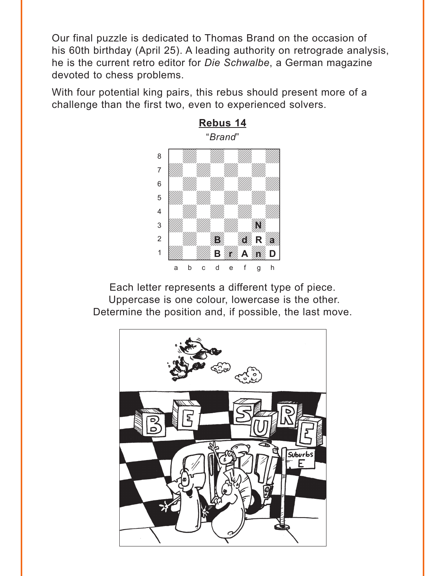<span id="page-2-0"></span>Our final puzzle is dedicated to Thomas Brand on the occasion of his 60th birthday (April 25). A leading authority on retrograde analysis, he is the current retro editor for *Die Schwalbe*, a German magazine devoted to chess problems.

With four potential king pairs, this rebus should present more of a challenge than the first two, even to experienced solvers.



Each letter represents a different type of piece. Uppercase is one colour, lowercase is the other. Determine the position and, if possible, the last move.

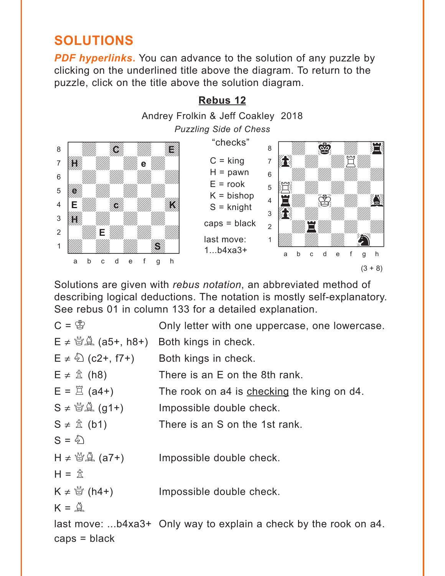## <span id="page-3-0"></span>**SOLUTIONS**

**PDF hyperlinks.** You can advance to the solution of any puzzle by clicking on the underlined title above the diagram. To return to the puzzle, click on the title above the solution diagram.



Solutions are given with *rebus notation*, an abbreviated method of describing logical deductions. The notation is mostly self-explanatory. See rebus 01 in column 133 for a detailed explanation.

```
C = \mathcal{B} Only letter with one uppercase, one lowercase.
E \neq \mathcal{B} \mathcal{A} (a5+, h8+) Both kings in check.
E \neq \hat{\triangle} (c2+, f7+) Both kings in check.
E \neq \hat{\mathbb{Z}} (h8) There is an E on the 8th rank.
E = \mathbb{E} (a4+) The rook on a4 is checking the king on d4.
S \neq \mathcal{B}(\mathcal{A}) (g1+) Impossible double check.
S \neq \hat{\mathbb{Z}} (b1) There is an S on the 1st rank.
S = \hat{\phi}H \neq \mathcal{B}(\mathcal{A}) (a7+) Impossible double check.
H = \hat{\pi}K \neq \frac{M}{Q} (h4+) Impossible double check.
K = \mathbb{Q}last move: ...b4xa3+ Only way to explain a check by the rook on a4. 
caps = black
```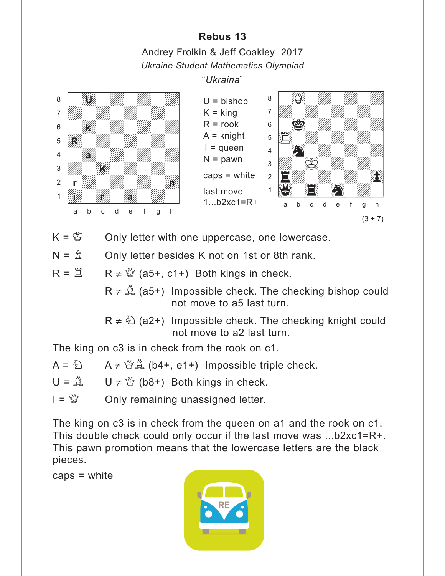## **[Rebus 13](#page-1-0)**

Andrey Frolkin & Jeff Coakley 2017 *Ukraine Student Mathematics Olympiad*

"*Ukraina*"

<span id="page-4-0"></span>

 $K = \mathcal{L}$  Only letter with one uppercase, one lowercase.

 $N = \hat{\mathbb{Z}}$  Only letter besides K not on 1st or 8th rank.

 $R = \mathbb{Z}$   $R \neq \mathbb{Q}$  (a5+, c1+) Both kings in check.

 $R \neq \hat{A}$  (a5+) Impossible check. The checking bishop could not move to a5 last turn.

 $R \neq \hat{\mathbb{Q}}$  (a2+) Impossible check. The checking knight could not move to a2 last turn.

The king on c3 is in check from the rook on c1.

 $A = \hat{\triangle}$   $A \neq \hat{\triangle} \hat{\triangle}$  (b4+, e1+) Impossible triple check.  $U = \mathbb{A}$   $U \neq \mathbb{B}$  (b8+) Both kings in check.  $I = \frac{M}{Q}$  Only remaining unassigned letter.

The king on c3 is in check from the queen on a1 and the rook on c1. This double check could only occur if the last move was ...b2xc1=R+. This pawn promotion means that the lowercase letters are the black pieces.

caps = white

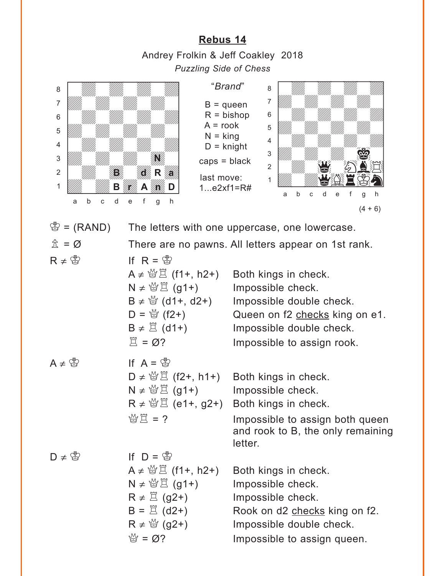**[Rebus 14](#page-2-0)** Andrey Frolkin & Jeff Coakley 2018 *Puzzling Side of Chess*

<span id="page-5-0"></span>

 $\mathcal{B} = (RAND)$  The letters with one uppercase, one lowercase.

 $\hat{\mathbb{I}} = \emptyset$  There are no pawns. All letters appear on 1st rank.

 $R \neq \overset{\circ}{\otimes}$  If  $R = \overset{\circ}{\otimes}$ 

 $A \neq \mathcal{B} \nsubseteq$  (f1+, h2+) Both kings in check.  $N \neq \mathcal{B} \nsubseteq$  (g1+) Impossible check.  $B \neq \frac{M}{Q}$  (d1+, d2+) Impossible double check.  $D = \frac{M}{Q}$  (f2+) Queen on f2 checks king on e1.  $B \neq \mathbb{Z}$  (d1+) Impossible double check.  $\mathbb{Z} = \emptyset$ ? Impossible to assign rook.  $A \neq \overset{\circ}{\mathbb{B}}$  If  $A = \overset{\circ}{\mathbb{B}}$  $D \neq \mathcal{B} \nsubseteq$  (f2+, h1+) Both kings in check.  $N \neq \mathcal{B}(\mathcal{G}1+)$  Impossible check.  $R \neq \mathcal{B} \nsubseteq$  (e1+, g2+) Both kings in check.  $\mathcal{L} \boxtimes \mathbb{Z} = ?$  Impossible to assign both queen and rook to B, the only remaining letter.  $D \neq \overset{\circ}{B}$  If  $D = \overset{\circ}{B}$  $A \neq \frac{M}{B}$  (f1+, h2+) Both kings in check.  $N \neq \mathcal{B}(\mathcal{G}1+)$  Impossible check.  $R \neq \mathbb{Z}$  (g2+) Impossible check.  $B = \Xi$  (d2+) Rook on d2 checks king on f2.  $R \neq \frac{M}{Q}$  (g2+) Impossible double check.  $\mathbb{S} = \emptyset$ ? Impossible to assign queen.